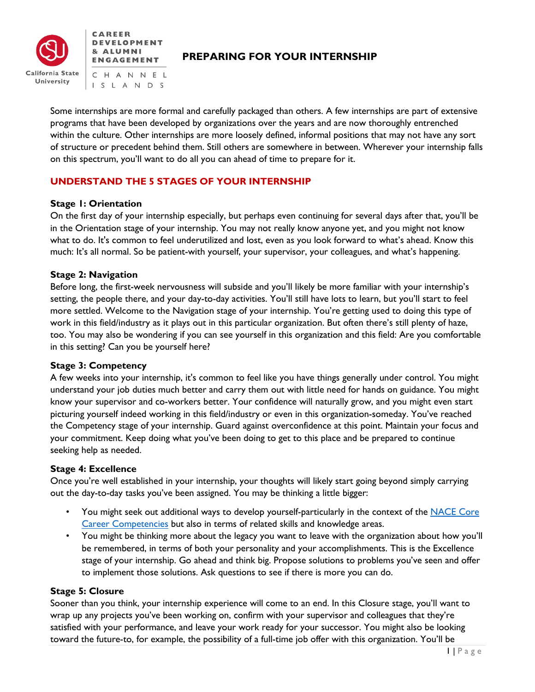



# **PREPARING FOR YOUR INTERNSHIP**

CHANNEL I S L A N D S

Some internships are more formal and carefully packaged than others. A few internships are part of extensive programs that have been developed by organizations over the years and are now thoroughly entrenched within the culture. Other internships are more loosely defined, informal positions that may not have any sort of structure or precedent behind them. Still others are somewhere in between. Wherever your internship falls on this spectrum, you'll want to do all you can ahead of time to prepare for it.

# **UNDERSTAND THE 5 STAGES OF YOUR INTERNSHIP**

## **Stage 1: Orientation**

On the first day of your internship especially, but perhaps even continuing for several days after that, you'll be in the Orientation stage of your internship. You may not really know anyone yet, and you might not know what to do. It's common to feel underutilized and lost, even as you look forward to what's ahead. Know this much: It's all normal. So be patient-with yourself, your supervisor, your colleagues, and what's happening.

## **Stage 2: Navigation**

Before long, the first-week nervousness will subside and you'll likely be more familiar with your internship's setting, the people there, and your day-to-day activities. You'll still have lots to learn, but you'll start to feel more settled. Welcome to the Navigation stage of your internship. You're getting used to doing this type of work in this field/industry as it plays out in this particular organization. But often there's still plenty of haze, too. You may also be wondering if you can see yourself in this organization and this field: Are you comfortable in this setting? Can you be yourself here?

## **Stage 3: Competency**

A few weeks into your internship, it's common to feel like you have things generally under control. You might understand your job duties much better and carry them out with little need for hands on guidance. You might know your supervisor and co-workers better. Your confidence will naturally grow, and you might even start picturing yourself indeed working in this field/industry or even in this organization-someday. You've reached the Competency stage of your internship. Guard against overconfidence at this point. Maintain your focus and your commitment. Keep doing what you've been doing to get to this place and be prepared to continue seeking help as needed.

## **Stage 4: Excellence**

Once you're well established in your internship, your thoughts will likely start going beyond simply carrying out the day-to-day tasks you've been assigned. You may be thinking a little bigger:

- You might seek out additional ways to develop yourself-particularly in the context of the NACE Core [Career Competencies](https://www.naceweb.org/career-readiness/competencies/career-readiness-defined/) but also in terms of related skills and knowledge areas.
- You might be thinking more about the legacy you want to leave with the organization about how you'll be remembered, in terms of both your personality and your accomplishments. This is the Excellence stage of your internship. Go ahead and think big. Propose solutions to problems you've seen and offer to implement those solutions. Ask questions to see if there is more you can do.

## **Stage 5: Closure**

Sooner than you think, your internship experience will come to an end. In this Closure stage, you'll want to wrap up any projects you've been working on, confirm with your supervisor and colleagues that they're satisfied with your performance, and leave your work ready for your successor. You might also be looking toward the future-to, for example, the possibility of a full-time job offer with this organization. You'll be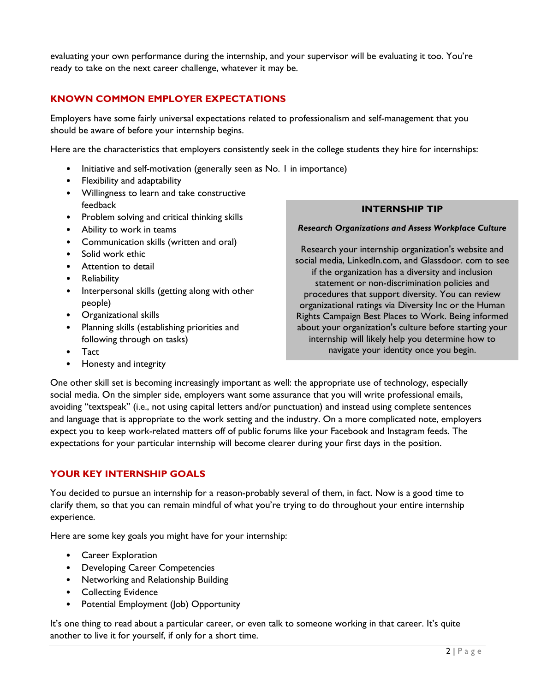evaluating your own performance during the internship, and your supervisor will be evaluating it too. You're ready to take on the next career challenge, whatever it may be.

# **KNOWN COMMON EMPLOYER EXPECTATIONS**

Employers have some fairly universal expectations related to professionalism and self-management that you should be aware of before your internship begins.

Here are the characteristics that employers consistently seek in the college students they hire for internships:

- Initiative and self-motivation (generally seen as No. 1 in importance)
- Flexibility and adaptability
- Willingness to learn and take constructive feedback
- Problem solving and critical thinking skills
- Ability to work in teams
- Communication skills (written and oral)
- Solid work ethic
- Attention to detail
- Reliability
- Interpersonal skills (getting along with other people)
- Organizational skills
- Planning skills (establishing priorities and following through on tasks)
- Tact
- Honesty and integrity

**INTERNSHIP TIP**

#### *Research Organizations and Assess Workplace Culture*

Research your internship organization's website and social media, LinkedIn.com, and Glassdoor. com to see if the organization has a diversity and inclusion statement or non-discrimination policies and procedures that support diversity. You can review organizational ratings via Diversity Inc or the Human Rights Campaign Best Places to Work. Being informed about your organization's culture before starting your internship will likely help you determine how to navigate your identity once you begin.

One other skill set is becoming increasingly important as well: the appropriate use of technology, especially social media. On the simpler side, employers want some assurance that you will write professional emails, avoiding "textspeak" (i.e., not using capital letters and/or punctuation) and instead using complete sentences and language that is appropriate to the work setting and the industry. On a more complicated note, employers expect you to keep work-related matters off of public forums like your Facebook and Instagram feeds. The expectations for your particular internship will become clearer during your first days in the position.

## **YOUR KEY INTERNSHIP GOALS**

You decided to pursue an internship for a reason-probably several of them, in fact. Now is a good time to clarify them, so that you can remain mindful of what you're trying to do throughout your entire internship experience.

Here are some key goals you might have for your internship:

- Career Exploration
- Developing Career Competencies
- Networking and Relationship Building
- Collecting Evidence
- Potential Employment (Job) Opportunity

It's one thing to read about a particular career, or even talk to someone working in that career. It's quite another to live it for yourself, if only for a short time.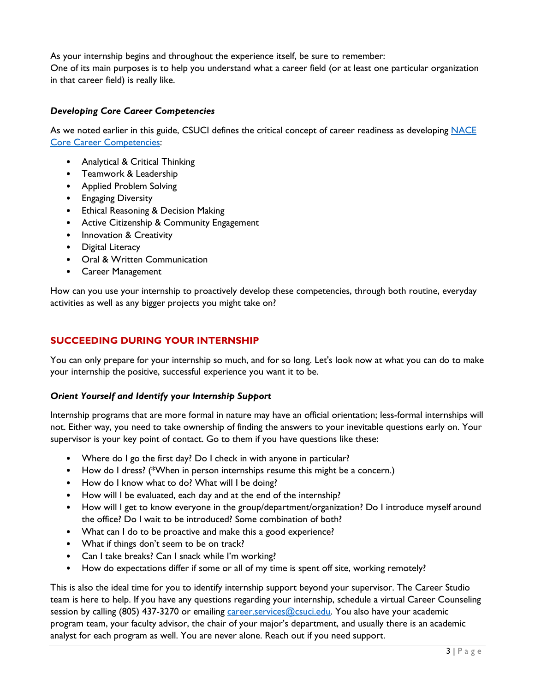As your internship begins and throughout the experience itself, be sure to remember:

One of its main purposes is to help you understand what a career field (or at least one particular organization in that career field) is really like.

# *Developing Core Career Competencies*

As we noted earlier in this guide, CSUCI defines the critical concept of career readiness as developing NACE [Core Career Competencies:](https://www.naceweb.org/career-readiness/competencies/career-readiness-defined/)

- Analytical & Critical Thinking
- Teamwork & Leadership
- Applied Problem Solving
- Engaging Diversity
- Ethical Reasoning & Decision Making
- Active Citizenship & Community Engagement
- Innovation & Creativity
- Digital Literacy
- Oral & Written Communication
- Career Management

How can you use your internship to proactively develop these competencies, through both routine, everyday activities as well as any bigger projects you might take on?

# **SUCCEEDING DURING YOUR INTERNSHIP**

You can only prepare for your internship so much, and for so long. Let's look now at what you can do to make your internship the positive, successful experience you want it to be.

## *Orient Yourself and Identify your Internship Support*

Internship programs that are more formal in nature may have an official orientation; less-formal internships will not. Either way, you need to take ownership of finding the answers to your inevitable questions early on. Your supervisor is your key point of contact. Go to them if you have questions like these:

- Where do I go the first day? Do I check in with anyone in particular?
- How do I dress? (\*When in person internships resume this might be a concern.)
- How do I know what to do? What will I be doing?
- How will I be evaluated, each day and at the end of the internship?
- How will I get to know everyone in the group/department/organization? Do I introduce myself around the office? Do I wait to be introduced? Some combination of both?
- What can I do to be proactive and make this a good experience?
- What if things don't seem to be on track?
- Can I take breaks? Can I snack while I'm working?
- How do expectations differ if some or all of my time is spent off site, working remotely?

This is also the ideal time for you to identify internship support beyond your supervisor. The Career Studio team is here to help. If you have any questions regarding your internship, schedule a virtual Career Counseling session by calling (805) 437-3270 or emailing [career.services@csuci.edu.](mailto:career.services@csuci.edu) You also have your academic program team, your faculty advisor, the chair of your major's department, and usually there is an academic analyst for each program as well. You are never alone. Reach out if you need support.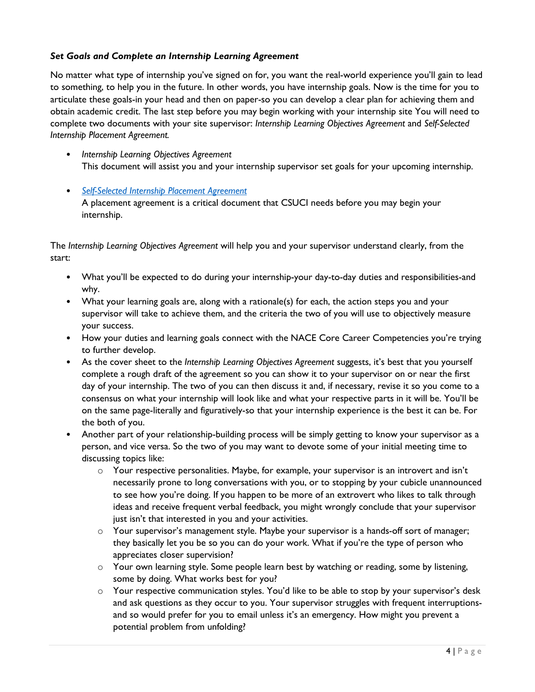## *Set Goals and Complete an Internship Learning Agreement*

No matter what type of internship you've signed on for, you want the real-world experience you'll gain to lead to something, to help you in the future. In other words, you have internship goals. Now is the time for you to articulate these goals-in your head and then on paper-so you can develop a clear plan for achieving them and obtain academic credit. The last step before you may begin working with your internship site You will need to complete two documents with your site supervisor: *Internship Learning Objectives Agreement* and *Self-Selected Internship Placement Agreement.*

- *Internship Learning Objectives Agreement* This document will assist you and your internship supervisor set goals for your upcoming internship.
- *[Self-Selected Internship Placement Agreement](https://www.csuci.edu/rm/programs/student-self-selected-internship-site-placement-agreement.pdf)* A placement agreement is a critical document that CSUCI needs before you may begin your internship.

The *Internship Learning Objectives Agreement* will help you and your supervisor understand clearly, from the start:

- What you'll be expected to do during your internship-your day-to-day duties and responsibilities-and why.
- What your learning goals are, along with a rationale(s) for each, the action steps you and your supervisor will take to achieve them, and the criteria the two of you will use to objectively measure your success.
- How your duties and learning goals connect with the NACE Core Career Competencies you're trying to further develop.
- As the cover sheet to the *Internship Learning Objectives Agreement* suggests, it's best that you yourself complete a rough draft of the agreement so you can show it to your supervisor on or near the first day of your internship. The two of you can then discuss it and, if necessary, revise it so you come to a consensus on what your internship will look like and what your respective parts in it will be. You'll be on the same page-literally and figuratively-so that your internship experience is the best it can be. For the both of you.
- Another part of your relationship-building process will be simply getting to know your supervisor as a person, and vice versa. So the two of you may want to devote some of your initial meeting time to discussing topics like:
	- $\circ$  Your respective personalities. Maybe, for example, your supervisor is an introvert and isn't necessarily prone to long conversations with you, or to stopping by your cubicle unannounced to see how you're doing. If you happen to be more of an extrovert who likes to talk through ideas and receive frequent verbal feedback, you might wrongly conclude that your supervisor just isn't that interested in you and your activities.
	- $\circ$  Your supervisor's management style. Maybe your supervisor is a hands-off sort of manager; they basically let you be so you can do your work. What if you're the type of person who appreciates closer supervision?
	- o Your own learning style. Some people learn best by watching or reading, some by listening, some by doing. What works best for you?
	- o Your respective communication styles. You'd like to be able to stop by your supervisor's desk and ask questions as they occur to you. Your supervisor struggles with frequent interruptionsand so would prefer for you to email unless it's an emergency. How might you prevent a potential problem from unfolding?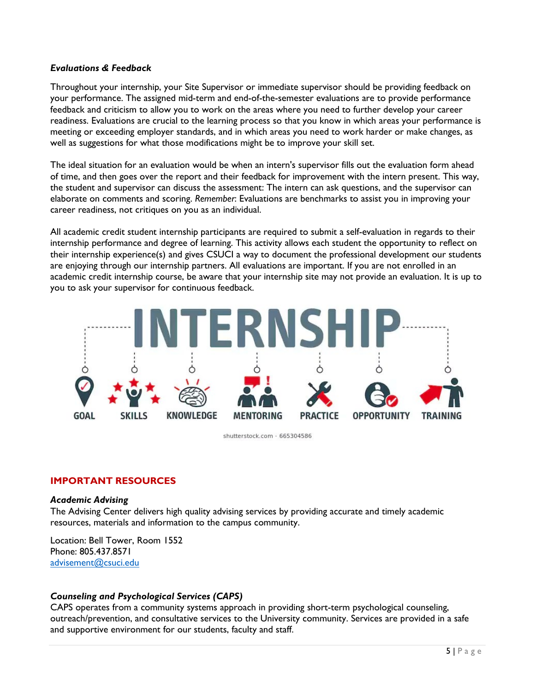#### *Evaluations & Feedback*

Throughout your internship, your Site Supervisor or immediate supervisor should be providing feedback on your performance. The assigned mid-term and end-of-the-semester evaluations are to provide performance feedback and criticism to allow you to work on the areas where you need to further develop your career readiness. Evaluations are crucial to the learning process so that you know in which areas your performance is meeting or exceeding employer standards, and in which areas you need to work harder or make changes, as well as suggestions for what those modifications might be to improve your skill set.

The ideal situation for an evaluation would be when an intern's supervisor fills out the evaluation form ahead of time, and then goes over the report and their feedback for improvement with the intern present. This way, the student and supervisor can discuss the assessment: The intern can ask questions, and the supervisor can elaborate on comments and scoring. *Remember*: Evaluations are benchmarks to assist you in improving your career readiness, not critiques on you as an individual.

All academic credit student internship participants are required to submit a self-evaluation in regards to their internship performance and degree of learning. This activity allows each student the opportunity to reflect on their internship experience(s) and gives CSUCI a way to document the professional development our students are enjoying through our internship partners. All evaluations are important. If you are not enrolled in an academic credit internship course, be aware that your internship site may not provide an evaluation. It is up to you to ask your supervisor for continuous feedback.



shutterstock.com · 665304586

## **IMPORTANT RESOURCES**

#### *Academic Advising*

The Advising Center delivers high quality advising services by providing accurate and timely academic resources, materials and information to the campus community.

Location: Bell Tower, Room 1552 Phone: 805.437.8571 [advisement@csuci.edu](mailto:advisement@csuci.edu)

## *Counseling and Psychological Services (CAPS)*

CAPS operates from a community systems approach in providing short-term psychological counseling, outreach/prevention, and consultative services to the University community. Services are provided in a safe and supportive environment for our students, faculty and staff.